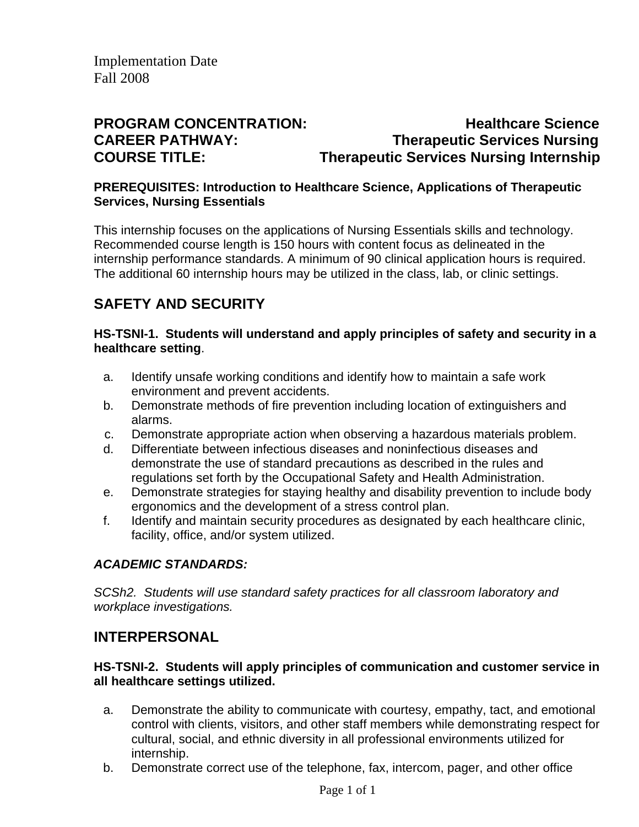# **PROGRAM CONCENTRATION:** Healthcare Science **CAREER PATHWAY: Therapeutic Services Nursing COURSE TITLE:** Therapeutic Services Nursing Internship

#### **PREREQUISITES: Introduction to Healthcare Science, Applications of Therapeutic Services, Nursing Essentials**

This internship focuses on the applications of Nursing Essentials skills and technology. Recommended course length is 150 hours with content focus as delineated in the internship performance standards. A minimum of 90 clinical application hours is required. The additional 60 internship hours may be utilized in the class, lab, or clinic settings.

# **SAFETY AND SECURITY**

#### **HS-TSNI-1. Students will understand and apply principles of safety and security in a healthcare setting**.

- a. Identify unsafe working conditions and identify how to maintain a safe work environment and prevent accidents.
- b. Demonstrate methods of fire prevention including location of extinguishers and alarms.
- c. Demonstrate appropriate action when observing a hazardous materials problem.
- d. Differentiate between infectious diseases and noninfectious diseases and demonstrate the use of standard precautions as described in the rules and regulations set forth by the Occupational Safety and Health Administration.
- e. Demonstrate strategies for staying healthy and disability prevention to include body ergonomics and the development of a stress control plan.
- f. Identify and maintain security procedures as designated by each healthcare clinic, facility, office, and/or system utilized.

### *ACADEMIC STANDARDS:*

*SCSh2. Students will use standard safety practices for all classroom laboratory and workplace investigations.* 

## **INTERPERSONAL**

#### **HS-TSNI-2. Students will apply principles of communication and customer service in all healthcare settings utilized.**

- a. Demonstrate the ability to communicate with courtesy, empathy, tact, and emotional control with clients, visitors, and other staff members while demonstrating respect for cultural, social, and ethnic diversity in all professional environments utilized for internship.
- b. Demonstrate correct use of the telephone, fax, intercom, pager, and other office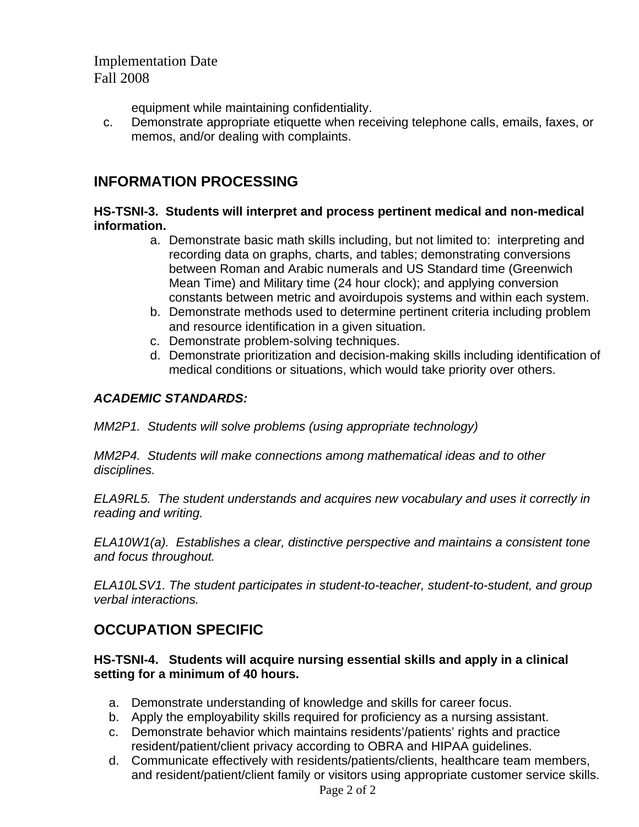equipment while maintaining confidentiality.

c. Demonstrate appropriate etiquette when receiving telephone calls, emails, faxes, or memos, and/or dealing with complaints.

## **INFORMATION PROCESSING**

#### **HS-TSNI-3. Students will interpret and process pertinent medical and non-medical information.**

- a. Demonstrate basic math skills including, but not limited to: interpreting and recording data on graphs, charts, and tables; demonstrating conversions between Roman and Arabic numerals and US Standard time (Greenwich Mean Time) and Military time (24 hour clock); and applying conversion constants between metric and avoirdupois systems and within each system.
- b. Demonstrate methods used to determine pertinent criteria including problem and resource identification in a given situation.
- c. Demonstrate problem-solving techniques.
- d. Demonstrate prioritization and decision-making skills including identification of medical conditions or situations, which would take priority over others.

### *ACADEMIC STANDARDS:*

*MM2P1. Students will solve problems (using appropriate technology)* 

*MM2P4. Students will make connections among mathematical ideas and to other disciplines.* 

*ELA9RL5. The student understands and acquires new vocabulary and uses it correctly in reading and writing.* 

*ELA10W1(a). Establishes a clear, distinctive perspective and maintains a consistent tone and focus throughout.* 

*ELA10LSV1. The student participates in student-to-teacher, student-to-student, and group verbal interactions.* 

# **OCCUPATION SPECIFIC**

#### **HS-TSNI-4. Students will acquire nursing essential skills and apply in a clinical setting for a minimum of 40 hours.**

- a. Demonstrate understanding of knowledge and skills for career focus.
- b. Apply the employability skills required for proficiency as a nursing assistant.
- c. Demonstrate behavior which maintains residents'/patients' rights and practice resident/patient/client privacy according to OBRA and HIPAA guidelines.
- d. Communicate effectively with residents/patients/clients, healthcare team members, and resident/patient/client family or visitors using appropriate customer service skills.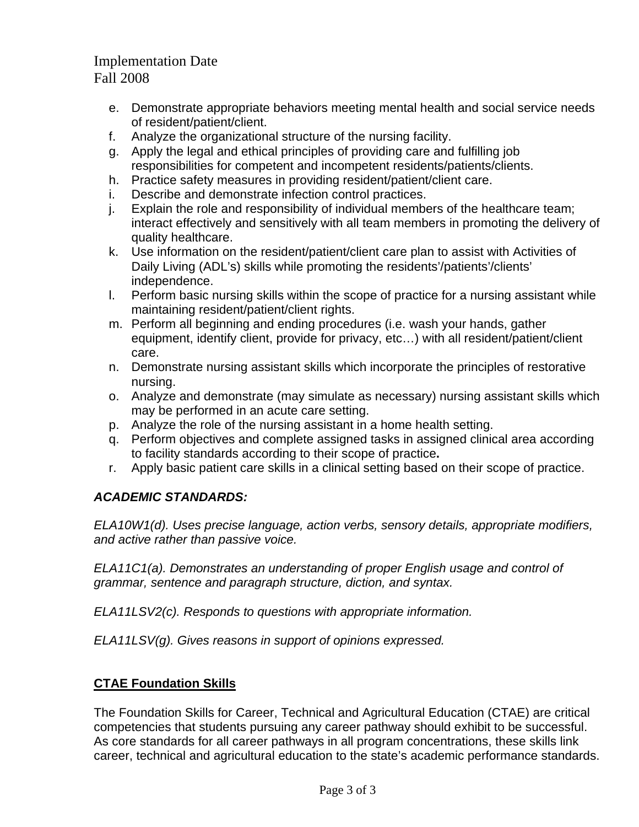- e. Demonstrate appropriate behaviors meeting mental health and social service needs of resident/patient/client.
- f. Analyze the organizational structure of the nursing facility.
- g. Apply the legal and ethical principles of providing care and fulfilling job responsibilities for competent and incompetent residents/patients/clients.
- h. Practice safety measures in providing resident/patient/client care.
- i. Describe and demonstrate infection control practices.
- j. Explain the role and responsibility of individual members of the healthcare team; interact effectively and sensitively with all team members in promoting the delivery of quality healthcare.
- k. Use information on the resident/patient/client care plan to assist with Activities of Daily Living (ADL's) skills while promoting the residents'/patients'/clients' independence.
- l. Perform basic nursing skills within the scope of practice for a nursing assistant while maintaining resident/patient/client rights.
- m. Perform all beginning and ending procedures (i.e. wash your hands, gather equipment, identify client, provide for privacy, etc…) with all resident/patient/client care.
- n. Demonstrate nursing assistant skills which incorporate the principles of restorative nursing.
- o. Analyze and demonstrate (may simulate as necessary) nursing assistant skills which may be performed in an acute care setting.
- p. Analyze the role of the nursing assistant in a home health setting.
- q. Perform objectives and complete assigned tasks in assigned clinical area according to facility standards according to their scope of practice**.**
- r. Apply basic patient care skills in a clinical setting based on their scope of practice.

### *ACADEMIC STANDARDS:*

*ELA10W1(d). Uses precise language, action verbs, sensory details, appropriate modifiers, and active rather than passive voice.* 

*ELA11C1(a). Demonstrates an understanding of proper English usage and control of grammar, sentence and paragraph structure, diction, and syntax.* 

*ELA11LSV2(c). Responds to questions with appropriate information.* 

*ELA11LSV(g). Gives reasons in support of opinions expressed.* 

### **CTAE Foundation Skills**

The Foundation Skills for Career, Technical and Agricultural Education (CTAE) are critical competencies that students pursuing any career pathway should exhibit to be successful. As core standards for all career pathways in all program concentrations, these skills link career, technical and agricultural education to the state's academic performance standards.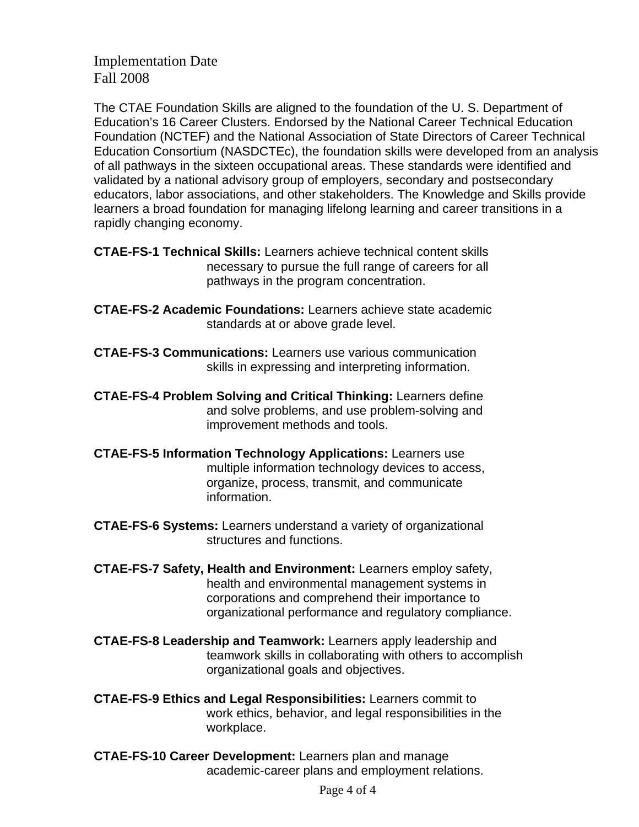The CTAE Foundation Skills are aligned to the foundation of the U. S. Department of Education's 16 Career Clusters. Endorsed by the National Career Technical Education Foundation (NCTEF) and the National Association of State Directors of Career Technical Education Consortium (NASDCTEc), the foundation skills were developed from an analysis of all pathways in the sixteen occupational areas. These standards were identified and validated by a national advisory group of employers, secondary and postsecondary educators, labor associations, and other stakeholders. The Knowledge and Skills provide learners a broad foundation for managing lifelong learning and career transitions in a rapidly changing economy.

**CTAE-FS-1 Technical Skills:** Learners achieve technical content skills necessary to pursue the full range of careers for all pathways in the program concentration.

- **CTAE-FS-2 Academic Foundations:** Learners achieve state academic standards at or above grade level.
- **CTAE-FS-3 Communications:** Learners use various communication skills in expressing and interpreting information.

**CTAE-FS-4 Problem Solving and Critical Thinking:** Learners define and solve problems, and use problem-solving and improvement methods and tools.

- **CTAE-FS-5 Information Technology Applications:** Learners use multiple information technology devices to access, organize, process, transmit, and communicate information.
- **CTAE-FS-6 Systems:** Learners understand a variety of organizational structures and functions.
- **CTAE-FS-7 Safety, Health and Environment:** Learners employ safety, health and environmental management systems in corporations and comprehend their importance to organizational performance and regulatory compliance.
- **CTAE-FS-8 Leadership and Teamwork:** Learners apply leadership and teamwork skills in collaborating with others to accomplish organizational goals and objectives.
- **CTAE-FS-9 Ethics and Legal Responsibilities:** Learners commit to work ethics, behavior, and legal responsibilities in the workplace.
- **CTAE-FS-10 Career Development:** Learners plan and manage academic-career plans and employment relations.